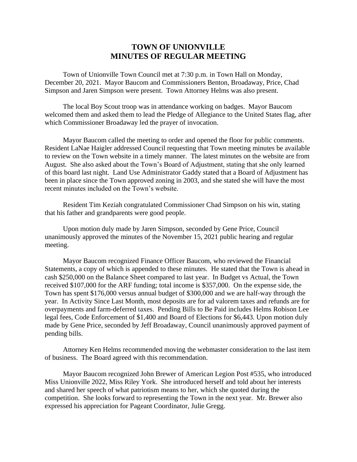## **TOWN OF UNIONVILLE MINUTES OF REGULAR MEETING**

Town of Unionville Town Council met at 7:30 p.m. in Town Hall on Monday, December 20, 2021. Mayor Baucom and Commissioners Benton, Broadaway, Price, Chad Simpson and Jaren Simpson were present. Town Attorney Helms was also present.

The local Boy Scout troop was in attendance working on badges. Mayor Baucom welcomed them and asked them to lead the Pledge of Allegiance to the United States flag, after which Commissioner Broadaway led the prayer of invocation.

Mayor Baucom called the meeting to order and opened the floor for public comments. Resident LaNae Haigler addressed Council requesting that Town meeting minutes be available to review on the Town website in a timely manner. The latest minutes on the website are from August. She also asked about the Town's Board of Adjustment, stating that she only learned of this board last night. Land Use Administrator Gaddy stated that a Board of Adjustment has been in place since the Town approved zoning in 2003, and she stated she will have the most recent minutes included on the Town's website.

Resident Tim Keziah congratulated Commissioner Chad Simpson on his win, stating that his father and grandparents were good people.

Upon motion duly made by Jaren Simpson, seconded by Gene Price, Council unanimously approved the minutes of the November 15, 2021 public hearing and regular meeting.

Mayor Baucom recognized Finance Officer Baucom, who reviewed the Financial Statements, a copy of which is appended to these minutes. He stated that the Town is ahead in cash \$250,000 on the Balance Sheet compared to last year. In Budget vs Actual, the Town received \$107,000 for the ARF funding; total income is \$357,000. On the expense side, the Town has spent \$176,000 versus annual budget of \$300,000 and we are half-way through the year. In Activity Since Last Month, most deposits are for ad valorem taxes and refunds are for overpayments and farm-deferred taxes. Pending Bills to Be Paid includes Helms Robison Lee legal fees, Code Enforcement of \$1,400 and Board of Elections for \$6,443. Upon motion duly made by Gene Price, seconded by Jeff Broadaway, Council unanimously approved payment of pending bills.

Attorney Ken Helms recommended moving the webmaster consideration to the last item of business. The Board agreed with this recommendation.

Mayor Baucom recognized John Brewer of American Legion Post #535, who introduced Miss Unionville 2022, Miss Riley York. She introduced herself and told about her interests and shared her speech of what patriotism means to her, which she quoted during the competition. She looks forward to representing the Town in the next year. Mr. Brewer also expressed his appreciation for Pageant Coordinator, Julie Gregg.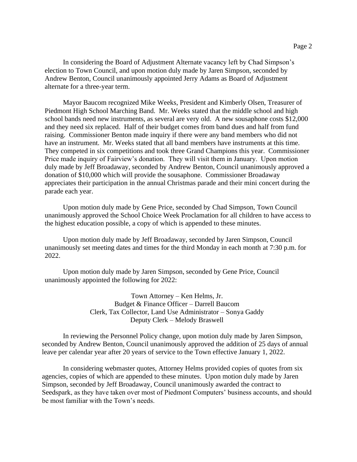In considering the Board of Adjustment Alternate vacancy left by Chad Simpson's election to Town Council, and upon motion duly made by Jaren Simpson, seconded by Andrew Benton, Council unanimously appointed Jerry Adams as Board of Adjustment alternate for a three-year term.

Mayor Baucom recognized Mike Weeks, President and Kimberly Olsen, Treasurer of Piedmont High School Marching Band. Mr. Weeks stated that the middle school and high school bands need new instruments, as several are very old. A new sousaphone costs \$12,000 and they need six replaced. Half of their budget comes from band dues and half from fund raising. Commissioner Benton made inquiry if there were any band members who did not have an instrument. Mr. Weeks stated that all band members have instruments at this time. They competed in six competitions and took three Grand Champions this year. Commissioner Price made inquiry of Fairview's donation. They will visit them in January. Upon motion duly made by Jeff Broadaway, seconded by Andrew Benton, Council unanimously approved a donation of \$10,000 which will provide the sousaphone. Commissioner Broadaway appreciates their participation in the annual Christmas parade and their mini concert during the parade each year.

Upon motion duly made by Gene Price, seconded by Chad Simpson, Town Council unanimously approved the School Choice Week Proclamation for all children to have access to the highest education possible, a copy of which is appended to these minutes.

Upon motion duly made by Jeff Broadaway, seconded by Jaren Simpson, Council unanimously set meeting dates and times for the third Monday in each month at 7:30 p.m. for 2022.

Upon motion duly made by Jaren Simpson, seconded by Gene Price, Council unanimously appointed the following for 2022:

> Town Attorney – Ken Helms, Jr. Budget & Finance Officer – Darrell Baucom Clerk, Tax Collector, Land Use Administrator – Sonya Gaddy Deputy Clerk – Melody Braswell

In reviewing the Personnel Policy change, upon motion duly made by Jaren Simpson, seconded by Andrew Benton, Council unanimously approved the addition of 25 days of annual leave per calendar year after 20 years of service to the Town effective January 1, 2022.

In considering webmaster quotes, Attorney Helms provided copies of quotes from six agencies, copies of which are appended to these minutes. Upon motion duly made by Jaren Simpson, seconded by Jeff Broadaway, Council unanimously awarded the contract to Seedspark, as they have taken over most of Piedmont Computers' business accounts, and should be most familiar with the Town's needs.